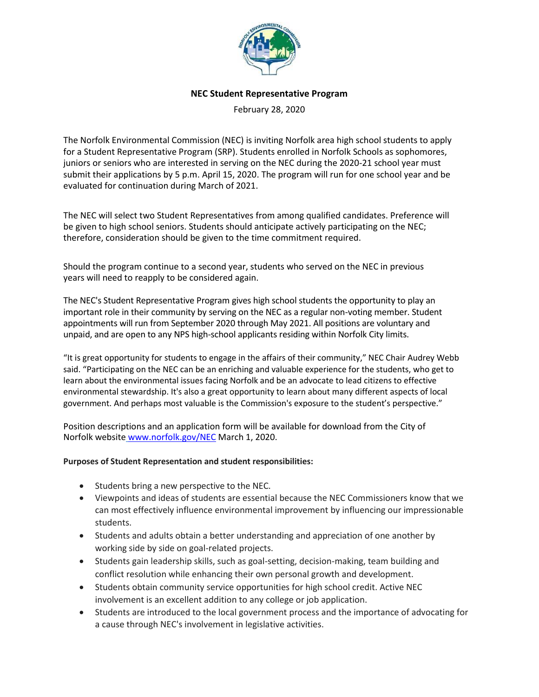

### **NEC Student Representative Program**

February 28, 2020

The Norfolk Environmental Commission (NEC) is inviting Norfolk area high school students to apply for a Student Representative Program (SRP). Students enrolled in Norfolk Schools as sophomores, juniors or seniors who are interested in serving on the NEC during the 2020-21 school year must submit their applications by 5 p.m. April 15, 2020. The program will run for one school year and be evaluated for continuation during March of 2021.

The NEC will select two Student Representatives from among qualified candidates. Preference will be given to high school seniors. Students should anticipate actively participating on the NEC; therefore, consideration should be given to the time commitment required.

Should the program continue to a second year, students who served on the NEC in previous years will need to reapply to be considered again.

The NEC's Student Representative Program gives high school students the opportunity to play an important role in their community by serving on the NEC as a regular non-voting member. Student appointments will run from September 2020 through May 2021. All positions are voluntary and unpaid, and are open to any NPS high-school applicants residing within Norfolk City limits.

"It is great opportunity for students to engage in the affairs of their community," NEC Chair Audrey Webb said. "Participating on the NEC can be an enriching and valuable experience for the students, who get to learn about the environmental issues facing Norfolk and be an advocate to lead citizens to effective environmental stewardship. It's also a great opportunity to learn about many different aspects of local government. And perhaps most valuable is the Commission's exposure to the student's perspective."

Position descriptions and an application form will be available for download from the City of Norfolk website [www.norfolk.gov/NEC](http://www.norfolk.gov/NEC) March 1, 2020.

### **Purposes of Student Representation and student responsibilities:**

- Students bring a new perspective to the NEC.
- Viewpoints and ideas of students are essential because the NEC Commissioners know that we can most effectively influence environmental improvement by influencing our impressionable students.
- Students and adults obtain a better understanding and appreciation of one another by working side by side on goal-related projects.
- Students gain leadership skills, such as goal-setting, decision-making, team building and conflict resolution while enhancing their own personal growth and development.
- Students obtain community service opportunities for high school credit. Active NEC involvement is an excellent addition to any college or job application.
- Students are introduced to the local government process and the importance of advocating for a cause through NEC's involvement in legislative activities.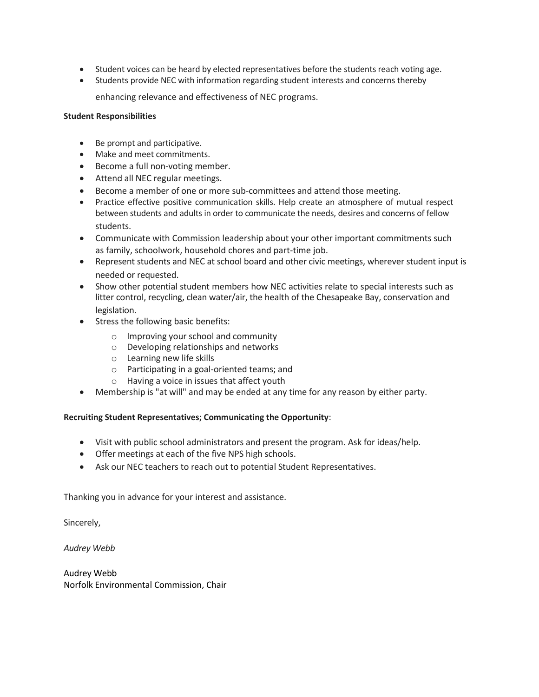- Student voices can be heard by elected representatives before the students reach voting age.
- Students provide NEC with information regarding student interests and concerns thereby

enhancing relevance and effectiveness of NEC programs.

### **Student Responsibilities**

- Be prompt and participative.
- Make and meet commitments.
- Become a full non-voting member.
- Attend all NEC regular meetings.
- Become a member of one or more sub-committees and attend those meeting.
- Practice effective positive communication skills. Help create an atmosphere of mutual respect between students and adults in order to communicate the needs, desires and concerns of fellow students.
- Communicate with Commission leadership about your other important commitments such as family, schoolwork, household chores and part-time job.
- Represent students and NEC at school board and other civic meetings, wherever student input is needed or requested.
- Show other potential student members how NEC activities relate to special interests such as litter control, recycling, clean water/air, the health of the Chesapeake Bay, conservation and legislation.
- Stress the following basic benefits:
	- o Improving your school and community
	- o Developing relationships and networks
	- o Learning new life skills
	- o Participating in a goal-oriented teams; and
	- o Having a voice in issues that affect youth
- Membership is "at will" and may be ended at any time for any reason by either party.

### **Recruiting Student Representatives; Communicating the Opportunity**:

- Visit with public school administrators and present the program. Ask for ideas/help.
- Offer meetings at each of the five NPS high schools.
- Ask our NEC teachers to reach out to potential Student Representatives.

Thanking you in advance for your interest and assistance.

Sincerely,

*Audrey Webb*

Audrey Webb Norfolk Environmental Commission, Chair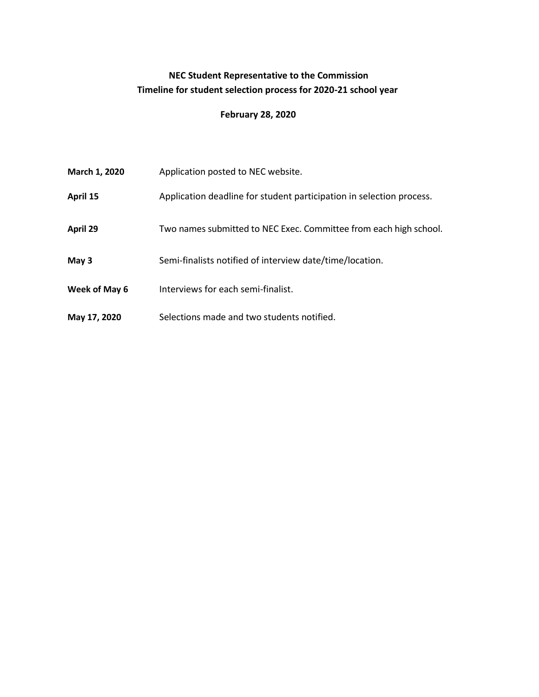# **NEC Student Representative to the Commission Timeline for student selection process for 2020-21 school year**

## **February 28, 2020**

| March 1, 2020 | Application posted to NEC website.                                   |
|---------------|----------------------------------------------------------------------|
| April 15      | Application deadline for student participation in selection process. |
| April 29      | Two names submitted to NEC Exec. Committee from each high school.    |
| May 3         | Semi-finalists notified of interview date/time/location.             |
| Week of May 6 | Interviews for each semi-finalist.                                   |
| May 17, 2020  | Selections made and two students notified.                           |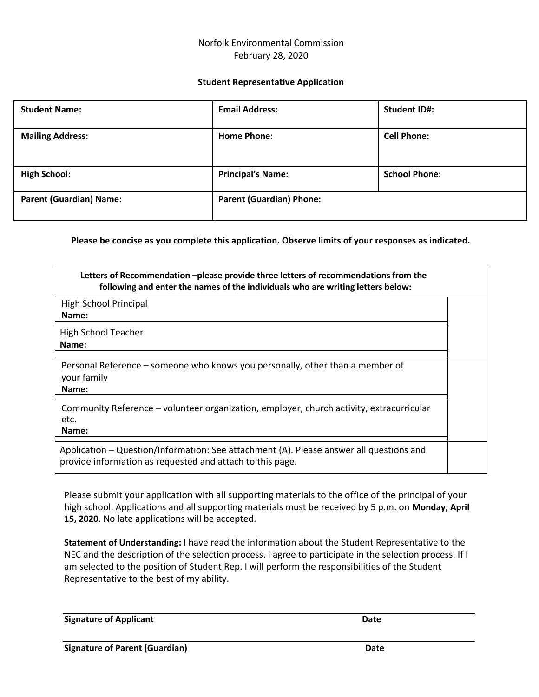## Norfolk Environmental Commission February 28, 2020

#### **Student Representative Application**

| <b>Student Name:</b>           | <b>Email Address:</b>           | <b>Student ID#:</b>  |
|--------------------------------|---------------------------------|----------------------|
| <b>Mailing Address:</b>        | <b>Home Phone:</b>              | <b>Cell Phone:</b>   |
| <b>High School:</b>            | <b>Principal's Name:</b>        | <b>School Phone:</b> |
| <b>Parent (Guardian) Name:</b> | <b>Parent (Guardian) Phone:</b> |                      |

**Please be concise as you complete this application. Observe limits of your responses as indicated.**

| Letters of Recommendation -please provide three letters of recommendations from the<br>following and enter the names of the individuals who are writing letters below: |  |
|------------------------------------------------------------------------------------------------------------------------------------------------------------------------|--|
| <b>High School Principal</b><br>Name:                                                                                                                                  |  |
|                                                                                                                                                                        |  |
| High School Teacher                                                                                                                                                    |  |
| Name:                                                                                                                                                                  |  |
| Personal Reference – someone who knows you personally, other than a member of<br>your family<br>Name:                                                                  |  |
| Community Reference – volunteer organization, employer, church activity, extracurricular<br>etc.<br>Name:                                                              |  |
| Application – Question/Information: See attachment (A). Please answer all questions and<br>provide information as requested and attach to this page.                   |  |

Please submit your application with all supporting materials to the office of the principal of your high school. Applications and all supporting materials must be received by 5 p.m. on **Monday, April 15, 2020**. No late applications will be accepted.

**Statement of Understanding:** I have read the information about the Student Representative to the NEC and the description of the selection process. I agree to participate in the selection process. If I am selected to the position of Student Rep. I will perform the responsibilities of the Student Representative to the best of my ability.

**Signature of Applicant Date**